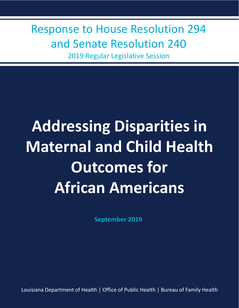Response to House Resolution 294 and Senate Resolution 240

2019 Regular Legislative Session

# **Addressing Disparities in Maternal and Child Health Outcomes for African Americans**

**September 2019**

Louisiana Department of Health | Office of Public Health | Bureau of Family Health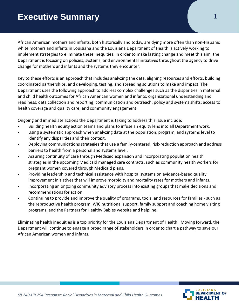African American mothers and infants, both historically and today, are dying more often than non-Hispanic white mothers and infants in Louisiana and the Louisiana Department of Health is actively working to implement strategies to eliminate these inequities. In order to make lasting change and meet this aim, the Department is focusing on policies, systems, and environmental initiatives throughout the agency to drive change for mothers and infants and the systems they encounter.

Key to these efforts is an approach that includes analyzing the data, aligning resources and efforts, building coordinated partnerships, and developing, testing, and spreading solutions to make and impact. The Department uses the following approach to address complex challenges such as the disparities in maternal and child health outcomes for African American women and infants: organizational understanding and readiness; data collection and reporting; communication and outreach; policy and systems shifts; access to health coverage and quality care; and community engagement.

Ongoing and immediate actions the Department is taking to address this issue include:

- Building health equity action teams and plans to infuse an equity lens into all Department work.
- Using a systematic approach when analyzing data at the population, program, and systems level to identify any disparities and their context.
- Deploying communications strategies that use a family-centered, risk-reduction approach and address barriers to health from a personal and systems level.
- Assuring continuity of care through Medicaid expansion and incorporating population health strategies in the upcoming Medicaid managed care contracts, such as community health workers for pregnant women covered through Medicaid plans.
- Providing leadership and technical assistance with hospital systems on evidence-based quality improvement initiatives that will improve morbidity and mortality rates for mothers and infants.
- Incorporating an ongoing community advisory process into existing groups that make decisions and recommendations for action.
- Continuing to provide and improve the quality of programs, tools, and resources for families such as the reproductive health program, WIC nutritional support, family support and coaching home visiting programs, and the Partners for Healthy Babies website and helpline.

Eliminating health inequities is a top priority for the Louisiana Department of Health. Moving forward, the Department will continue to engage a broad range of stakeholders in order to chart a pathway to save our African American women and infants.

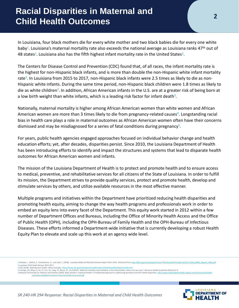## **Racial Disparities in Maternal and Child Health Outcomes**

In Louisiana, four black mothers die for every white mother and two black babies die for every one white baby<sup>1</sup>. Louisiana's maternal mortality rate also exceeds the national average as Louisiana ranks 47<sup>th</sup> out of 48 states<sup>1</sup>. Louisiana also has the fifth highest infant mortality rate in the United States<sup>2</sup>.

The Centers for Disease Control and Prevention (CDC) found that, of all races, the infant mortality rate is the highest for non-Hispanic black infants, and is more than double the non-Hispanic white infant mortality rate<sup>3</sup>. In Louisiana from 2015 to 2017, non-Hispanic black infants were 2.5 times as likely to die as non-Hispanic white infants. During the same time period, non-Hispanic black children were 1.8 times as likely to die as white children2. In addition, African American infants in the U.S. are at a greater risk of being born at a low birth weight than white infants, which is a leading risk factor for infant death<sup>3</sup>.

Nationally, maternal mortality is higher among African American women than white women and African American women are more than 3 times likely to die from pregnancy-related causes<sup>4</sup>. Longstanding racial bias in health care plays a role in maternal outcomes as African American women often have their concerns dismissed and may be misdiagnosed for a series of fatal conditions during pregnancy<sup>5</sup>.

For years, public health agencies engaged approaches focused on individual behavior change and health education efforts; yet, after decades, disparities persist. Since 2010, the Louisiana Department of Health has been introducing efforts to identify and impact the structures and systems that lead to disparate health outcomes for African American women and infants.

The mission of the Louisiana Department of Health is to protect and promote health and to ensure access to medical, preventive, and rehabilitative services for all citizens of the State of Louisiana. In order to fulfill its mission, the Department strives to provide quality services, protect and promote health, develop and stimulate services by others, and utilize available resources in the most effective manner.

Multiple programs and initiatives within the Department have prioritized reducing health disparities and promoting health equity, aiming to change the way health programs and professionals work in order to embed an equity lens into every facet of the Department. This equity work started in 2012 within a few number of Department Offices and Bureaus, including the Office of Minority Health Access and the Office of Public Health (OPH), including the OPH-Bureau of Family Health and the OPH-Bureau of Infectious Diseases. These efforts informed a Department-wide initiative that is currently developing a robust Health Equity Plan to elevate and scale up this work at an agency wide level.

5 National Partnership for Women and Families (2018). Black women's maternal health: A multifaceted approach to addressing persistent and dire health disparities. http://www.national-health-issue-brief.odf<br>care/maternity/b -health-issue-brief.pdf



<sup>1</sup> Kieltyka, L., Mehta, P., Schoellmann, K., and Lake, C. (2018). Louisiana Maternal Mortality Review Report 2011-2016. Retrieved from http://ldh.la.gov/assets/oph/Center-PHCH/CenterPH/maternal/2011-2016\_MMR\_Report\_FINAL.pd 2 Louisiana Child Death Review 2015-2017.

<sup>3</sup> CDC (2018). Reproductive health: Infant mortality. <u>https://www.cdc.gov/reproductivehealth/maternalinfanthealth/infantmortality.htm</u><br>4 Creanga, AA, Berg, CJ, Ko, JY, Farr, SL, Tong, VT, Bruce, FC, et al (2014). Maternal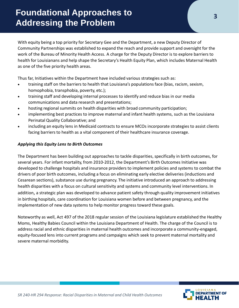With equity being a top priority for Secretary Gee and the Department, a new Deputy Director of Community Partnerships was established to expand the reach and provide support and oversight for the work of the Bureau of Minority Health Access. A charge for the Deputy Director is to explore barriers to health for Louisianans and help shape the Secretary's Health Equity Plan, which includes Maternal Health as one of the five priority health areas.

Thus far, Initiatives within the Department have included various strategies such as:

- training staff on the barriers to health that Louisiana's populations face (bias, racism, sexism, homophobia, transphobia, poverty, etc.);
- training staff and developing internal processes to identify and reduce bias in our media communications and data research and presentations;
- hosting regional summits on health disparities with broad community participation;
- implementing best practices to improve maternal and infant health systems, such as the Louisiana Perinatal Quality Collaborative; and
- including an equity lens in Medicaid contracts to ensure MCOs incorporate strategies to assist clients facing barriers to health as a vital component of their healthcare insurance coverage.

#### *Applying this Equity Lens to Birth Outcomes*

The Department has been building out approaches to tackle disparities, specifically in birth outcomes, for several years. For infant mortality, from 2010-2012, the Department's Birth Outcomes Initiative was developed to challenge hospitals and insurance providers to implement policies and systems to combat the drivers of poor birth outcomes, including a focus on eliminating early elective deliveries (inductions and Cesarean sections), substance use during pregnancy. The initiative introduced an approach to addressing health disparities with a focus on cultural sensitivity and systems and community level interventions. In addition, a strategic plan was developed to advance patient safety through quality improvement initiatives in birthing hospitals, care coordination for Louisiana women before and between pregnancy, and the implementation of new data systems to help monitor progress toward these goals.

Noteworthy as well, Act 497 of the 2018 regular session of the Louisiana legislature established the Healthy Moms, Healthy Babies Council within the Louisiana Department of Health. The charge of the Council is to address racial and ethnic disparities in maternal health outcomes and incorporate a community-engaged, equity-focused lens into current programs and campaigns which seek to prevent maternal mortality and severe maternal morbidity.

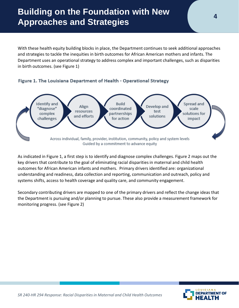## **Building on the Foundation with New Approaches and Strategies**

With these health equity building blocks in place, the Department continues to seek additional approaches and strategies to tackle the inequities in birth outcomes for African American mothers and infants. The Department uses an operational strategy to address complex and important challenges, such as disparities in birth outcomes. (see Figure 1)



Figure 1. The Louisiana Department of Health - Operational Strategy

As indicated in Figure 1, a first step is to identify and diagnose complex challenges. Figure 2 maps out the key drivers that contribute to the goal of eliminating racial disparities in maternal and child health outcomes for African American infants and mothers. Primary drivers identified are: organizational understanding and readiness, data collection and reporting, communication and outreach, policy and systems shifts, access to health coverage and quality care, and community engagement.

Secondary contributing drivers are mapped to one of the primary drivers and reflect the change ideas that the Department is pursuing and/or planning to pursue. These also provide a measurement framework for monitoring progress. (see Figure 2)

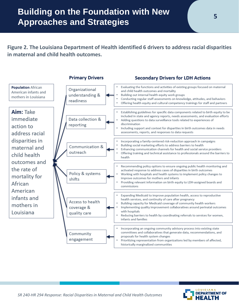**Figure 2. The Louisiana Department of Health identified 6 drivers to address racial disparities in maternal and child health outcomes.**



*SR 240-HR 294 Response: Racial Disparities in Maternal and Child Health Outcomes*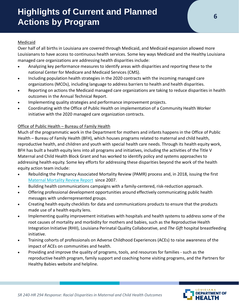## **Highlights of Current and Planned Actions by Program**

#### Medicaid

Over half of all births in Louisiana are covered through Medicaid, and Medicaid expansion allowed more Louisianans to have access to continuous health services. Some key ways Medicaid and the Healthy Louisiana managed care organizations are addressing health disparities include:

- Analyzing key performance measures to identify areas with disparities and reporting these to the national Center for Medicare and Medicaid Services (CMS).
- Including population health strategies in the 2020 contracts with the incoming managed care organizations (MCOs), including language to address barriers to health and health disparities.
- Reporting on actions the Medicaid managed care organizations are taking to reduce disparities in health outcomes in the Annual Technical Report.
- Implementing quality strategies and performance improvement projects.
- Coordinating with the Office of Public Health on implementation of a Community Health Worker initiative with the 2020 managed care organization contracts.

### Office of Public Health – Bureau of Family Health

Much of the programmatic work in the Department for mothers and infants happens in the Office of Public Health – Bureau of Family Health (BFH), which houses programs related to maternal and child health, reproductive health, and children and youth with special health care needs. Through its health equity work, BFH has built a health equity lens into all programs and initiatives, including the activities of the Title V Maternal and Child Health Block Grant and has worked to identify policy and systems approaches to addressing health equity. Some key efforts for addressing these disparities beyond the work of the health equity action team include:

- Rebuilding the Pregnancy Associated Mortality Review (PAMR) process and, in 2018, issuing the first [Maternal Mortality Review Report](http://ldh.la.gov/assets/oph/Center-PHCH/Center-PH/maternal/2011-2016_MMR_Report_FINAL.pdf) since 2007.
- Building health communications campaigns with a family-centered, risk-reduction approach.
- Offering professional development opportunities around effectively communicating public health messages with underrepresented groups.
- Creating health equity checklists for data and communications products to ensure that the products made use of a health equity lens.
- Implementing quality improvement initiatives with hospitals and health systems to address some of the root causes of mortality and morbidity for mothers and babies, such as the Reproductive Health Integration Initiative (RHII), Louisiana Perinatal Quality Collaborative, and *The Gift* hospital breastfeeding initiative.
- Training cohorts of professionals on Adverse Childhood Experiences (ACEs) to raise awareness of the impact of ACEs on communities and health.
- Providing and improve the quality of programs, tools, and resources for families such as the reproductive health program, family support and coaching home visiting programs, and the Partners for Healthy Babies website and helpline.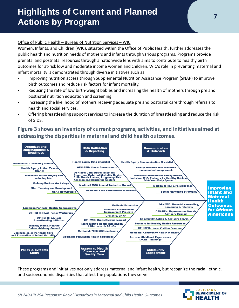## **Highlights of Current and Planned Actions by Program**

### Office of Public Health – Bureau of Nutrition Services – WIC

Women, Infants, and Children (WIC), situated within the Office of Public Health, further addresses the public health and nutrition needs of mothers and infants through various programs. Programs provide prenatal and postnatal resources through a nationwide lens with aims to contribute to healthy birth outcomes for at-risk low and moderate income women and children. WIC's role in preventing maternal and infant mortality is demonstrated through diverse initiatives such as:

- Improving nutrition access through Supplemental Nutrition Assistance Program (SNAP) to improve birth outcomes and reduce risk factors for infant mortality.
- Reducing the rate of low birth-weight babies and increasing the health of mothers through pre and postnatal nutrition education and screening.
- Increasing the likelihood of mothers receiving adequate pre and postnatal care through referrals to health and social services.
- Offering breastfeeding support services to increase the duration of breastfeeding and reduce the risk of SIDS.

**Figure 3 shows an inventory of current programs, activities, and initiatives aimed at addressing the disparities in maternal and child health outcomes.**



These programs and initiatives not only address maternal and infant health, but recognize the racial, ethnic, and socioeconomic disparities that affect the populations they serve.